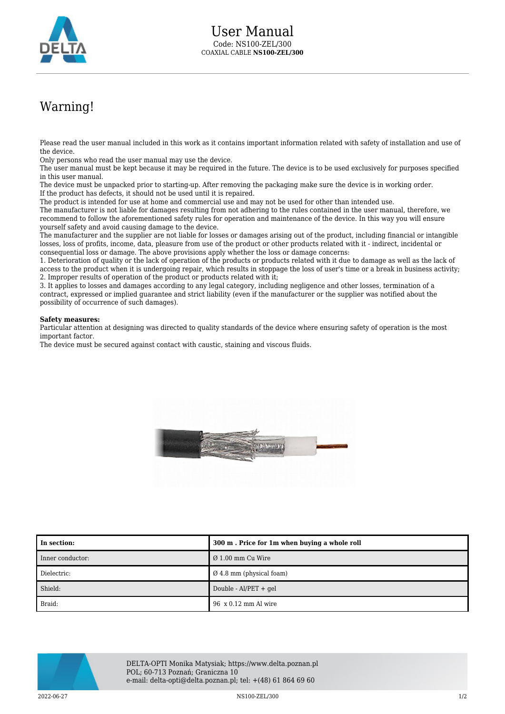

## Warning!

Please read the user manual included in this work as it contains important information related with safety of installation and use of the device.

Only persons who read the user manual may use the device.

The user manual must be kept because it may be required in the future. The device is to be used exclusively for purposes specified in this user manual.

The device must be unpacked prior to starting-up. After removing the packaging make sure the device is in working order. If the product has defects, it should not be used until it is repaired.

The product is intended for use at home and commercial use and may not be used for other than intended use.

The manufacturer is not liable for damages resulting from not adhering to the rules contained in the user manual, therefore, we recommend to follow the aforementioned safety rules for operation and maintenance of the device. In this way you will ensure yourself safety and avoid causing damage to the device.

The manufacturer and the supplier are not liable for losses or damages arising out of the product, including financial or intangible losses, loss of profits, income, data, pleasure from use of the product or other products related with it - indirect, incidental or consequential loss or damage. The above provisions apply whether the loss or damage concerns:

1. Deterioration of quality or the lack of operation of the products or products related with it due to damage as well as the lack of access to the product when it is undergoing repair, which results in stoppage the loss of user's time or a break in business activity; 2. Improper results of operation of the product or products related with it;

3. It applies to losses and damages according to any legal category, including negligence and other losses, termination of a contract, expressed or implied guarantee and strict liability (even if the manufacturer or the supplier was notified about the possibility of occurrence of such damages).

## **Safety measures:**

Particular attention at designing was directed to quality standards of the device where ensuring safety of operation is the most important factor.

The device must be secured against contact with caustic, staining and viscous fluids.



| l In section:    | 300 m. Price for 1m when buying a whole roll |
|------------------|----------------------------------------------|
| Inner conductor: | $\varnothing$ 1.00 mm Cu Wire                |
| Dielectric:      | $\varnothing$ 4.8 mm (physical foam)         |
| Shield:          | Double - Al/PET + gel                        |
| Braid:           | 96 x 0.12 mm Al wire                         |



DELTA-OPTI Monika Matysiak; https://www.delta.poznan.pl POL; 60-713 Poznań; Graniczna 10 e-mail: delta-opti@delta.poznan.pl; tel: +(48) 61 864 69 60

 $\rm NS100-ZEL/300$   $\rm NS100-ZEL/300$